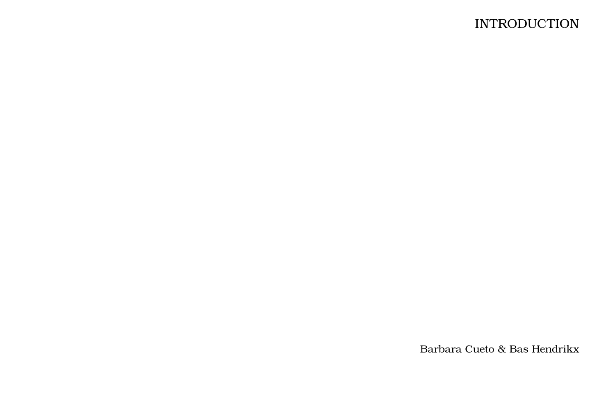## **INTRODUCTION**

Barbara Cueto & Bas Hendrikx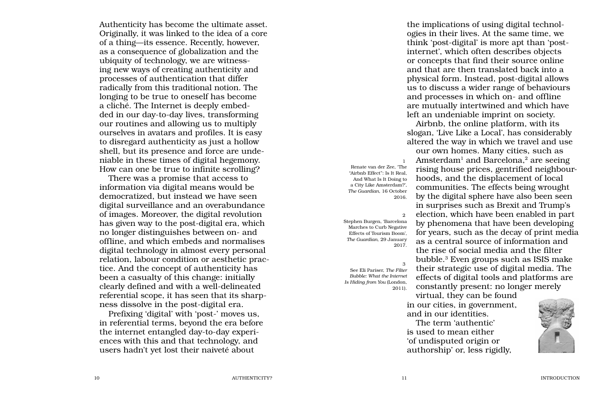Authenticity has become the ultimate asset. Originally, it was linked to the idea of a core of a thing—its essence. Recently, however, as a consequence of globalization and the ubiquity of technology, we are witnessing new ways of creating authenticity and processes of authentication that differ radically from this traditional notion. The longing to be true to oneself has become a cliché. The Internet is deeply embedded in our day-to-day lives, transforming our routines and allowing us to multiply ourselves in avatars and profiles. It is easy to disregard authenticity as just a hollow shell, but its presence and force are undeniable in these times of digital hegemony. How can one be true to infinite scrolling?

There was a promise that access to information via digital means would be democratized, but instead we have seen digital surveillance and an overabundance of images. Moreover, the digital revolution has given way to the post-digital era, which no longer distinguishes between on- and offline, and which embeds and normalises digital technology in almost every personal relation, labour condition or aesthetic practice. And the concept of authenticity has been a casualty of this change: initially clearly defined and with a well-delineated referential scope, it has seen that its sharpness dissolve in the post-digital era.

Prefixing 'digital' with 'post-' moves us, in referential terms, beyond the era before the internet entangled day-to-day experiences with this and that technology, and users hadn't yet lost their naiveté about

the implications of using digital technologies in their lives. At the same time, we think 'post-digital' is more apt than 'postinternet', which often describes objects or concepts that find their source online and that are then translated back into a physical form. Instead, post-digital allows us to discuss a wider range of behaviours and processes in which on- and offline are mutually intertwined and which have left an undeniable imprint on society.

Airbnb, the online platform, with its slogan, 'Live Like a Local', has considerably altered the way in which we travel and use our own homes. Many cities, such as Amsterdam<sup>1</sup> and Barcelona,<sup>2</sup> are seeing rising house prices, gentrified neighbourhoods, and the displacement of local communities. The effects being wrought by the digital sphere have also been seen in surprises such as Brexit and Trump's election, which have been enabled in part by phenomena that have been developing for years, such as the decay of print media as a central source of information and the rise of social media and the filter bubble.3 Even groups such as ISIS make their strategic use of digital media. The effects of digital tools and platforms are constantly present: no longer merely

virtual, they can be found in our cities, in government, and in our identities.

The term 'authentic' is used to mean either 'of undisputed origin or authorship' or, less rigidly,



"Airbnb Effect": Is It Real, And What Is It Doing to a City Like Amsterdam?', *The Guardian*, 16 October 2016.

Renate van der Zee, 'The

1

2 Stephen Burgen, 'Barcelona Marches to Curb Negative Effects of Tourism Boom', *The Guardian*, 29 January 2017.

3 See Eli Pariser, *The Filter Bubble: What the Internet Is Hiding from You* (London, 2011).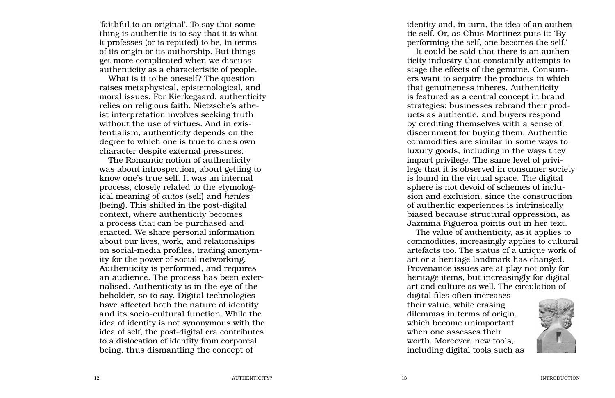'faithful to an original'. To say that some thing is authentic is to say that it is what it professes (or is reputed) to be, in terms of its origin or its authorship. But things get more complicated when we discuss authenticity as a characteristic of people.

What is it to be oneself? The question raises metaphysical, epistemological, and moral issues. For Kierkegaard, authenticity relies on religious faith. Nietzsche's athe ist interpretation involves seeking truth without the use of virtues. And in exis tentialism, authenticity depends on the degree to which one is true to one's own character despite external pressures.

The Romantic notion of authenticity was about introspection, about getting to know one's true self. It was an internal process, closely related to the etymolog ical meaning of *autos* (self) and *hentes* (being). This shifted in the post-digital context, where authenticity becomes a process that can be purchased and enacted. We share personal information about our lives, work, and relationships on social-media profiles, trading anonym ity for the power of social networking. Authenticity is performed, and requires an audience. The process has been externalised. Authenticity is in the eye of the beholder, so to say. Digital technologies have affected both the nature of identity and its socio-cultural function. While the idea of identity is not synonymous with the idea of self, the post-digital era contributes to a dislocation of identity from corporeal being, thus dismantling the concept of

identity and, in turn, the idea of an authen tic self. Or, as Chus Martínez puts it: 'By performing the self, one becomes the self.'

It could be said that there is an authen ticity industry that constantly attempts to stage the effects of the genuine. Consum ers want to acquire the products in which that genuineness inheres. Authenticity is featured as a central concept in brand strategies: businesses rebrand their prod ucts as authentic, and buyers respond by crediting themselves with a sense of discernment for buying them. Authentic commodities are similar in some ways to luxury goods, including in the ways they impart privilege. The same level of privi lege that it is observed in consumer society is found in the virtual space. The digital sphere is not devoid of schemes of inclu sion and exclusion, since the construction of authentic experiences is intrinsically biased because structural oppression, as Jazmina Figueroa points out in her text.

The value of authenticity, as it applies to commodities, increasingly applies to cultural artefacts too. The status of a unique work of art or a heritage landmark has changed. Provenance issues are at play not only for heritage items, but increasingly for digital art and culture as well. The circulation of

digital files often increases their value, while erasing dilemmas in terms of origin, which become unimportant when one assesses their worth. Moreover, new tools, including digital tools such as

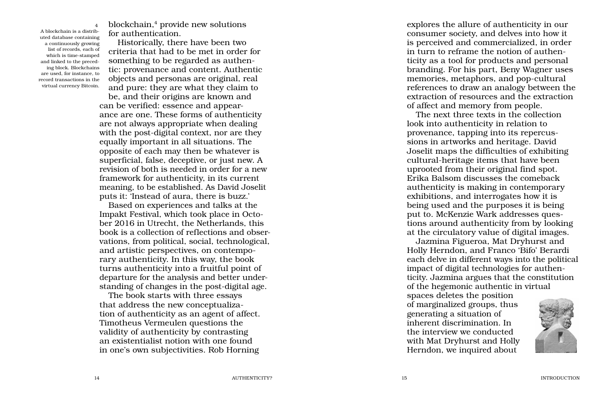4

A blockchain is a distrib uted database containing a continuously growing list of records, each of which is time-stamped and linked to the preced ing block. Blockchains are used, for instance, to record transactions in the virtual currency Bitcoin.

blockchain, 4 provide new solutions for authentication.

Historically, there have been two criteria that had to be met in order for something to be regarded as authen tic: provenance and content. Authentic objects and personas are original, real and pure: they are what they claim to

be, and their origins are known and can be verified: essence and appearance are one. These forms of authenticity are not always appropriate when dealing with the post-digital context, nor are they equally important in all situations. The opposite of each may then be whatever is superficial, false, deceptive, or just new. A revision of both is needed in order for a new framework for authenticity, in its current meaning, to be established. As David Joselit puts it: 'Instead of aura, there is buzz.'

Based on experiences and talks at the Impakt Festival, which took place in Octo ber 2016 in Utrecht, the Netherlands, this book is a collection of reflections and observations, from political, social, technological, and artistic perspectives, on contempo rary authenticity. In this way, the book turns authenticity into a fruitful point of departure for the analysis and better understanding of changes in the post-digital age.

The book starts with three essays that address the new conceptualiza tion of authenticity as an agent of affect. Timotheus Vermeulen questions the validity of authenticity by contrasting an existentialist notion with one found in one's own subjectivities. Rob Horning

explores the allure of authenticity in our consumer society, and delves into how it is perceived and commercialized, in order in turn to reframe the notion of authen ticity as a tool for products and personal branding. For his part, Beny Wagner uses memories, metaphors, and pop-cultural references to draw an analogy between the extraction of resources and the extraction of affect and memory from people.

The next three texts in the collection look into authenticity in relation to provenance, tapping into its repercus sions in artworks and heritage. David Joselit maps the difficulties of exhibiting cultural-heritage items that have been uprooted from their original find spot. Erika Balsom discusses the comeback authenticity is making in contemporary exhibitions, and interrogates how it is being used and the purposes it is being put to. McKenzie Wark addresses ques tions around authenticity from by looking at the circulatory value of digital images.

Jazmina Figueroa, Mat Dryhurst and Holly Herndon, and Franco 'Bifo' Berardi each delve in different ways into the political impact of digital technologies for authen ticity. Jazmina argues that the constitution of the hegemonic authentic in virtual

spaces deletes the position of marginalized groups, thus generating a situation of inherent discrimination. In the interview we conducted with Mat Dryhurst and Holly Herndon, we inquired about



**INTRODUCTION**